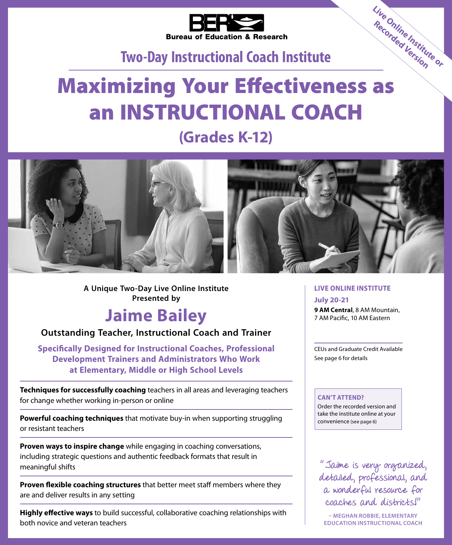

## **Two‑Day Instructional Coach Institute**

# Bureau of Education & news...<br>
Two-Day Instructional Coach Institute<br>
Maximizing Your Effectiveness as an INSTRUCTIONAL COACH

# **(Grades K-12)**



**A Unique Two-Day Live Online Institute Presented by**

# **Jaime Bailey**

## **Outstanding Teacher, Instructional Coach and Trainer**

**Specifically Designed for Instructional Coaches, Professional Development Trainers and Administrators Who Work at Elementary, Middle or High School Levels**

**Techniques for successfully coaching** teachers in all areas and leveraging teachers for change whether working in-person or online

**Powerful coaching techniques** that motivate buy-in when supporting struggling or resistant teachers

**Proven ways to inspire change** while engaging in coaching conversations, including strategic questions and authentic feedback formats that result in meaningful shifts

**Proven flexible coaching structures** that better meet staff members where they are and deliver results in any setting

**Highly effective ways** to build successful, collaborative coaching relationships with both novice and veteran teachers

#### **LIVE ONLINE INSTITUTE July 20-21**

**9 AM Central**, 8 AM Mountain, 7 AM Pacific, 10 AM Eastern

**Live Online Institute or Recorded Version**

CEUs and Graduate Credit Available See page 6 for details

#### **CAN'T ATTEND?**

Order the recorded version and take the institute online at your convenience (see page 6)

" Jaime is very organized, detailed, professional, and a wonderful resource for coaches and districts!"

**– MEGHAN ROBBIE, ELEMENTARY EDUCATION INSTRUCTIONAL COACH**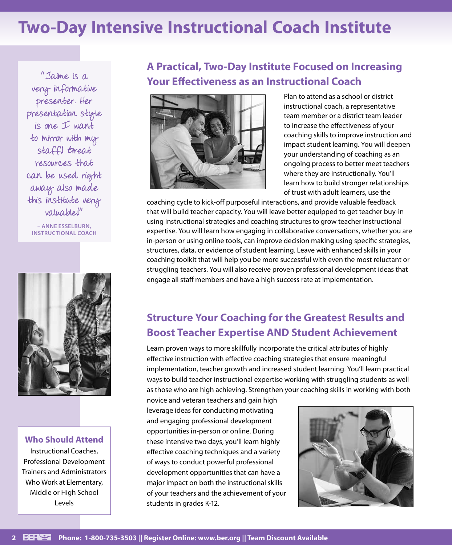# **Two-Day Intensive Instructional Coach Institute**

"Jaime is a very informative presenter. Her presentation style  $is$  one  $I$  want to mirror with my staff! Great resources that can be used right away also made this institute very valuable!"

**– ANNE ESSELBURN, INSTRUCTIONAL COACH**



#### **Who Should Attend**

Instructional Coaches, Professional Development Trainers and Administrators Who Work at Elementary, Middle or High School Levels

## **A Practical, Two-Day Institute Focused on Increasing Your Effectiveness as an Instructional Coach**



Plan to attend as a school or district instructional coach, a representative team member or a district team leader to increase the effectiveness of your coaching skills to improve instruction and impact student learning. You will deepen your understanding of coaching as an ongoing process to better meet teachers where they are instructionally. You'll learn how to build stronger relationships of trust with adult learners, use the

coaching cycle to kick-off purposeful interactions, and provide valuable feedback that will build teacher capacity. You will leave better equipped to get teacher buy-in using instructional strategies and coaching structures to grow teacher instructional expertise. You will learn how engaging in collaborative conversations, whether you are in-person or using online tools, can improve decision making using specific strategies, structures, data, or evidence of student learning. Leave with enhanced skills in your coaching toolkit that will help you be more successful with even the most reluctant or struggling teachers. You will also receive proven professional development ideas that engage all staff members and have a high success rate at implementation.

## **Structure Your Coaching for the Greatest Results and Boost Teacher Expertise AND Student Achievement**

Learn proven ways to more skillfully incorporate the critical attributes of highly effective instruction with effective coaching strategies that ensure meaningful implementation, teacher growth and increased student learning. You'll learn practical ways to build teacher instructional expertise working with struggling students as well as those who are high achieving. Strengthen your coaching skills in working with both

novice and veteran teachers and gain high leverage ideas for conducting motivating and engaging professional development opportunities in-person or online. During these intensive two days, you'll learn highly effective coaching techniques and a variety of ways to conduct powerful professional development opportunities that can have a major impact on both the instructional skills of your teachers and the achievement of your students in grades K-12.

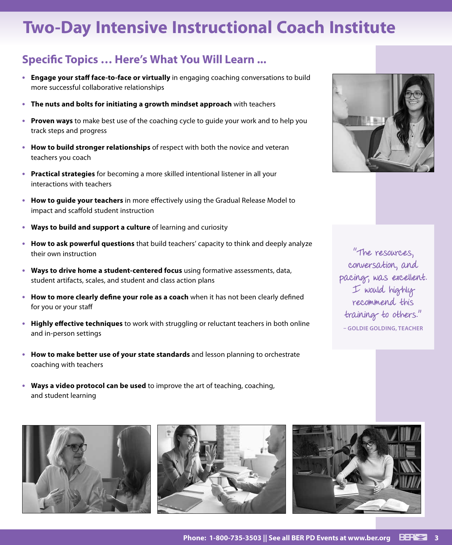# **Two-Day Intensive Instructional Coach Institute**

## **Specific Topics … Here's What You Will Learn ...**

- **• Engage your staff face-to-face or virtually** in engaging coaching conversations to build more successful collaborative relationships
- **• The nuts and bolts for initiating a growth mindset approach** with teachers
- **• Proven ways** to make best use of the coaching cycle to guide your work and to help you track steps and progress
- **• How to build stronger relationships** of respect with both the novice and veteran teachers you coach
- **• Practical strategies** for becoming a more skilled intentional listener in all your interactions with teachers
- **• How to guide your teachers** in more effectively using the Gradual Release Model to impact and scaffold student instruction
- **• Ways to build and support a culture** of learning and curiosity
- **• How to ask powerful questions** that build teachers' capacity to think and deeply analyze their own instruction
- **• Ways to drive home a student-centered focus** using formative assessments, data, student artifacts, scales, and student and class action plans
- **• How to more clearly define your role as a coach** when it has not been clearly defined for you or your staff
- **• Highly effective techniques** to work with struggling or reluctant teachers in both online and in-person settings
- **• How to make better use of your state standards** and lesson planning to orchestrate coaching with teachers
- **• Ways a video protocol can be used** to improve the art of teaching, coaching, and student learning









The resources, conversation, and pacing, was excellent. I would highly recommend this training to others." **– GOLDIE GOLDING, TEACHER**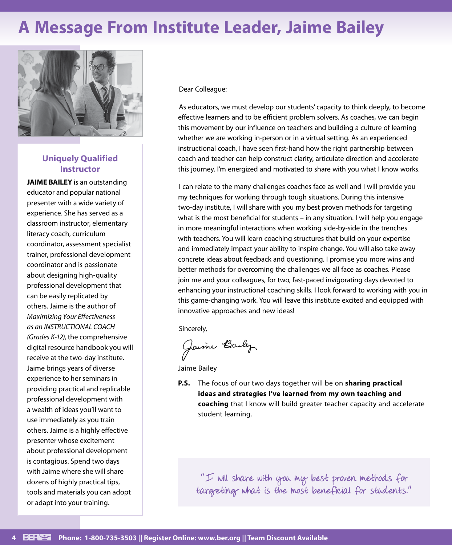# **A Message From Institute Leader, Jaime Bailey**



#### **Uniquely Qualified Instructor**

**JAIME BAILEY** is an outstanding educator and popular national presenter with a wide variety of experience. She has served as a classroom instructor, elementary literacy coach, curriculum coordinator, assessment specialist trainer, professional development coordinator and is passionate about designing high-quality professional development that can be easily replicated by others. Jaime is the author of *Maximizing Your Effectiveness as an INSTRUCTIONAL COACH (Grades K-12)*, the comprehensive digital resource handbook you will receive at the two-day institute. Jaime brings years of diverse experience to her seminars in providing practical and replicable professional development with a wealth of ideas you'll want to use immediately as you train others. Jaime is a highly effective presenter whose excitement about professional development is contagious. Spend two days with Jaime where she will share dozens of highly practical tips, tools and materials you can adopt or adapt into your training.

#### Dear Colleague:

As educators, we must develop our students' capacity to think deeply, to become effective learners and to be efficient problem solvers. As coaches, we can begin this movement by our influence on teachers and building a culture of learning whether we are working in-person or in a virtual setting. As an experienced instructional coach, I have seen first-hand how the right partnership between coach and teacher can help construct clarity, articulate direction and accelerate this journey. I'm energized and motivated to share with you what I know works.

I can relate to the many challenges coaches face as well and I will provide you my techniques for working through tough situations. During this intensive two-day institute, I will share with you my best proven methods for targeting what is the most beneficial for students – in any situation. I will help you engage in more meaningful interactions when working side-by-side in the trenches with teachers. You will learn coaching structures that build on your expertise and immediately impact your ability to inspire change. You will also take away concrete ideas about feedback and questioning. I promise you more wins and better methods for overcoming the challenges we all face as coaches. Please join me and your colleagues, for two, fast-paced invigorating days devoted to enhancing your instructional coaching skills. I look forward to working with you in this game-changing work. You will leave this institute excited and equipped with innovative approaches and new ideas!

Sincerely,

Jaime Baily

Jaime Bailey

**P.S.** The focus of our two days together will be on **sharing practical ideas and strategies I've learned from my own teaching and coaching** that I know will build greater teacher capacity and accelerate student learning.

"I will share with you my best proven methods for targeting what is the most beneficial for students."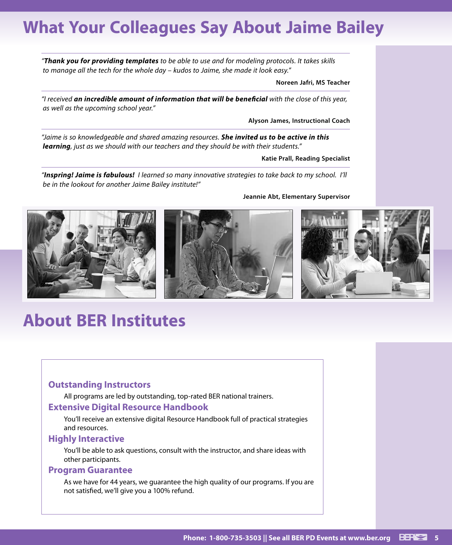# **What Your Colleagues Say About Jaime Bailey**

*"Thank you for providing templates to be able to use and for modeling protocols. It takes skills to manage all the tech for the whole day – kudos to Jaime, she made it look easy."*

**Noreen Jafri, MS Teacher**

*"I received an incredible amount of information that will be beneficial with the close of this year, as well as the upcoming school year."*

**Alyson James, Instructional Coach**

*"Jaime is so knowledgeable and shared amazing resources. She invited us to be active in this learning, just as we should with our teachers and they should be with their students."*

**Katie Prall, Reading Specialist**

*"Inspring! Jaime is fabulous! I learned so many innovative strategies to take back to my school. I'll be in the lookout for another Jaime Bailey institute!"*





# **About BER Institutes**

#### **Outstanding Instructors**

All programs are led by outstanding, top-rated BER national trainers.

#### **Extensive Digital Resource Handbook**

You'll receive an extensive digital Resource Handbook full of practical strategies and resources.

#### **Highly Interactive**

You'll be able to ask questions, consult with the instructor, and share ideas with other participants.

#### **Program Guarantee**

As we have for 44 years, we guarantee the high quality of our programs. If you are not satisfied, we'll give you a 100% refund.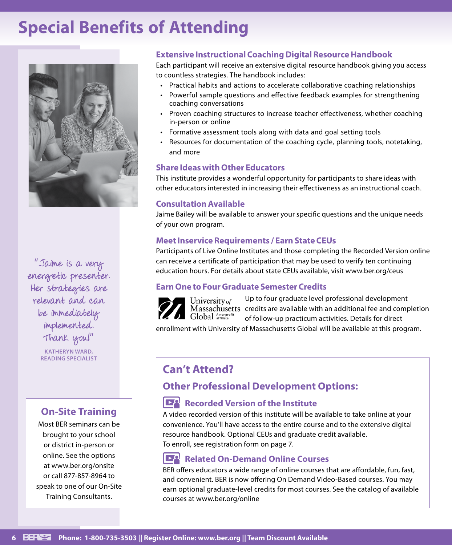# **Special Benefits of Attending**



"Jaime is a very energetic presenter. Her strategies are relevant and can be immediately implemented. Thank you!"

**KATHERYN WARD, READING SPECIALIST**

## **On-Site Training**

Most BER seminars can be brought to your school or district in-person or online. See the options at www.ber.org/onsite or call 877-857-8964 to speak to one of our On-Site Training Consultants.

#### **Extensive Instructional Coaching Digital Resource Handbook**

Each participant will receive an extensive digital resource handbook giving you access to countless strategies. The handbook includes:

- Practical habits and actions to accelerate collaborative coaching relationships
- Powerful sample questions and effective feedback examples for strengthening coaching conversations
- Proven coaching structures to increase teacher effectiveness, whether coaching in-person or online
- Formative assessment tools along with data and goal setting tools
- Resources for documentation of the coaching cycle, planning tools, notetaking, and more

#### **Share Ideas with Other Educators**

This institute provides a wonderful opportunity for participants to share ideas with other educators interested in increasing their effectiveness as an instructional coach.

#### **Consultation Available**

Jaime Bailey will be available to answer your specific questions and the unique needs of your own program.

#### **Meet Inservice Requirements / Earn State CEUs**

Participants of Live Online Institutes and those completing the Recorded Version online can receive a certificate of participation that may be used to verify ten continuing education hours. For details about state CEUs available, visit www.ber.org/ceus

#### **Earn One to Four Graduate Semester Credits**



Up to four graduate level professional development Massachusetts credits are available with an additional fee and completion of follow-up practicum activities. Details for direct

enrollment with University of Massachusetts Global will be available at this program.

## **Can't Attend?**

#### **Other Professional Development Options:**

#### **Recorded Version of the Institute**

A video recorded version of this institute will be available to take online at your convenience. You'll have access to the entire course and to the extensive digital resource handbook. Optional CEUs and graduate credit available. To enroll, see registration form on page 7.

#### **Related On-Demand Online Courses**

BER offers educators a wide range of online courses that are affordable, fun, fast, and convenient. BER is now offering On Demand Video-Based courses. You may earn optional graduate-level credits for most courses. See the catalog of available courses at www.ber.org/online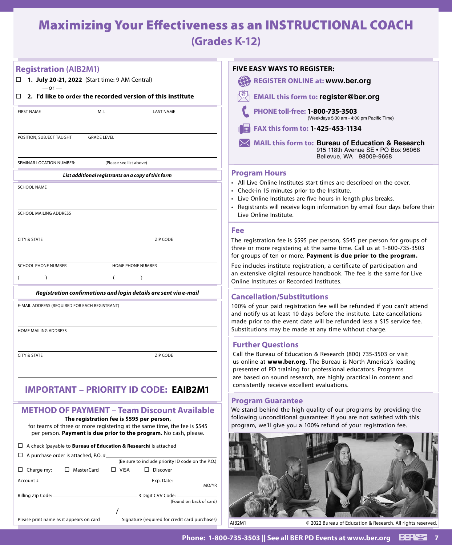## Maximizing Your Effectiveness as an INSTRUCTIONAL COACH **(Grades K-12)**

| <b>Registration (AIB2M1)</b>                                                                                                                                                                                                                                       | <b>FIVE EASY WAYS TO REGISTER:</b>                                                                                                                                                                                                                                                                                                                 |
|--------------------------------------------------------------------------------------------------------------------------------------------------------------------------------------------------------------------------------------------------------------------|----------------------------------------------------------------------------------------------------------------------------------------------------------------------------------------------------------------------------------------------------------------------------------------------------------------------------------------------------|
| 1. July 20-21, 2022 (Start time: 9 AM Central)<br>$-or -$                                                                                                                                                                                                          | $\bigoplus$<br><b>REGISTER ONLINE at: www.ber.org</b>                                                                                                                                                                                                                                                                                              |
| 2. I'd like to order the recorded version of this institute<br>□                                                                                                                                                                                                   | <b>EMAIL this form to: register@ber.org</b>                                                                                                                                                                                                                                                                                                        |
| <b>FIRST NAME</b><br>M.I.<br><b>LAST NAME</b>                                                                                                                                                                                                                      | PHONE toll-free: 1-800-735-3503<br>(Weekdays 5:30 am - 4:00 pm Pacific Time)                                                                                                                                                                                                                                                                       |
|                                                                                                                                                                                                                                                                    | FAX this form to: 1-425-453-1134<br>圖                                                                                                                                                                                                                                                                                                              |
| POSITION, SUBJECT TAUGHT<br><b>GRADE LEVEL</b>                                                                                                                                                                                                                     | MAIL this form to: Bureau of Education & Research<br>915 118th Avenue SE . PO Box 96068<br>Bellevue, WA 98009-9668                                                                                                                                                                                                                                 |
| SEMINAR LOCATION NUMBER: __<br>(Please see list above)                                                                                                                                                                                                             |                                                                                                                                                                                                                                                                                                                                                    |
| List additional registrants on a copy of this form<br><b>SCHOOL NAME</b><br><b>SCHOOL MAILING ADDRESS</b>                                                                                                                                                          | <b>Program Hours</b><br>• All Live Online Institutes start times are described on the cover.<br>• Check-in 15 minutes prior to the Institute.<br>• Live Online Institutes are five hours in length plus breaks.<br>Registrants will receive login information by email four days before their<br>Live Online Institute.                            |
|                                                                                                                                                                                                                                                                    |                                                                                                                                                                                                                                                                                                                                                    |
| <b>CITY &amp; STATE</b><br>ZIP CODE                                                                                                                                                                                                                                | Fee<br>The registration fee is \$595 per person, \$545 per person for groups of<br>three or more registering at the same time. Call us at 1-800-735-3503<br>for groups of ten or more. Payment is due prior to the program.                                                                                                                        |
| <b>SCHOOL PHONE NUMBER</b><br>HOME PHONE NUMBER<br>$\lambda$<br>$\lambda$                                                                                                                                                                                          | Fee includes institute registration, a certificate of participation and<br>an extensive digital resource handbook. The fee is the same for Live<br>Online Institutes or Recorded Institutes.                                                                                                                                                       |
| Registration confirmations and login details are sent via e-mail                                                                                                                                                                                                   | <b>Cancellation/Substitutions</b>                                                                                                                                                                                                                                                                                                                  |
| E-MAIL ADDRESS (REQUIRED FOR EACH REGISTRANT)                                                                                                                                                                                                                      | 100% of your paid registration fee will be refunded if you can't attend<br>and notify us at least 10 days before the institute. Late cancellations<br>made prior to the event date will be refunded less a \$15 service fee.                                                                                                                       |
| HOME MAILING ADDRESS                                                                                                                                                                                                                                               | Substitutions may be made at any time without charge.                                                                                                                                                                                                                                                                                              |
| <b>CITY &amp; STATE</b><br>ZIP CODE                                                                                                                                                                                                                                | <b>Further Questions</b><br>Call the Bureau of Education & Research (800) 735-3503 or visit<br>us online at www.ber.org. The Bureau is North America's leading<br>presenter of PD training for professional educators. Programs<br>are based on sound research, are highly practical in content and<br>consistently receive excellent evaluations. |
| IMPORTANT – PRIORITY ID CODE: EAIB2M1                                                                                                                                                                                                                              | <b>Program Guarantee</b>                                                                                                                                                                                                                                                                                                                           |
| <b>METHOD OF PAYMENT - Team Discount Available</b><br>The registration fee is \$595 per person,<br>for teams of three or more registering at the same time, the fee is \$545                                                                                       | We stand behind the high quality of our programs by providing the<br>following unconditional guarantee: If you are not satisfied with this<br>program, we'll give you a 100% refund of your registration fee.                                                                                                                                      |
| per person. Payment is due prior to the program. No cash, please.<br>$\Box$ A check (payable to <b>Bureau of Education &amp; Research</b> ) is attached<br>$\Box$ A purchase order is attached, P.O. # $\Box$<br>(Be sure to include priority ID code on the P.O.) |                                                                                                                                                                                                                                                                                                                                                    |
| □ MasterCard<br>$\Box$ VISA<br>$\Box$ Discover<br>$\Box$ Charge my:<br>. Exp. Date: _<br>Account # ______<br>MO/YR                                                                                                                                                 |                                                                                                                                                                                                                                                                                                                                                    |
| (Found on back of card)                                                                                                                                                                                                                                            |                                                                                                                                                                                                                                                                                                                                                    |
| Signature (required for credit card purchases)<br>Please print name as it appears on card                                                                                                                                                                          | AIB2M1<br>© 2022 Bureau of Education & Research. All rights reserved.                                                                                                                                                                                                                                                                              |